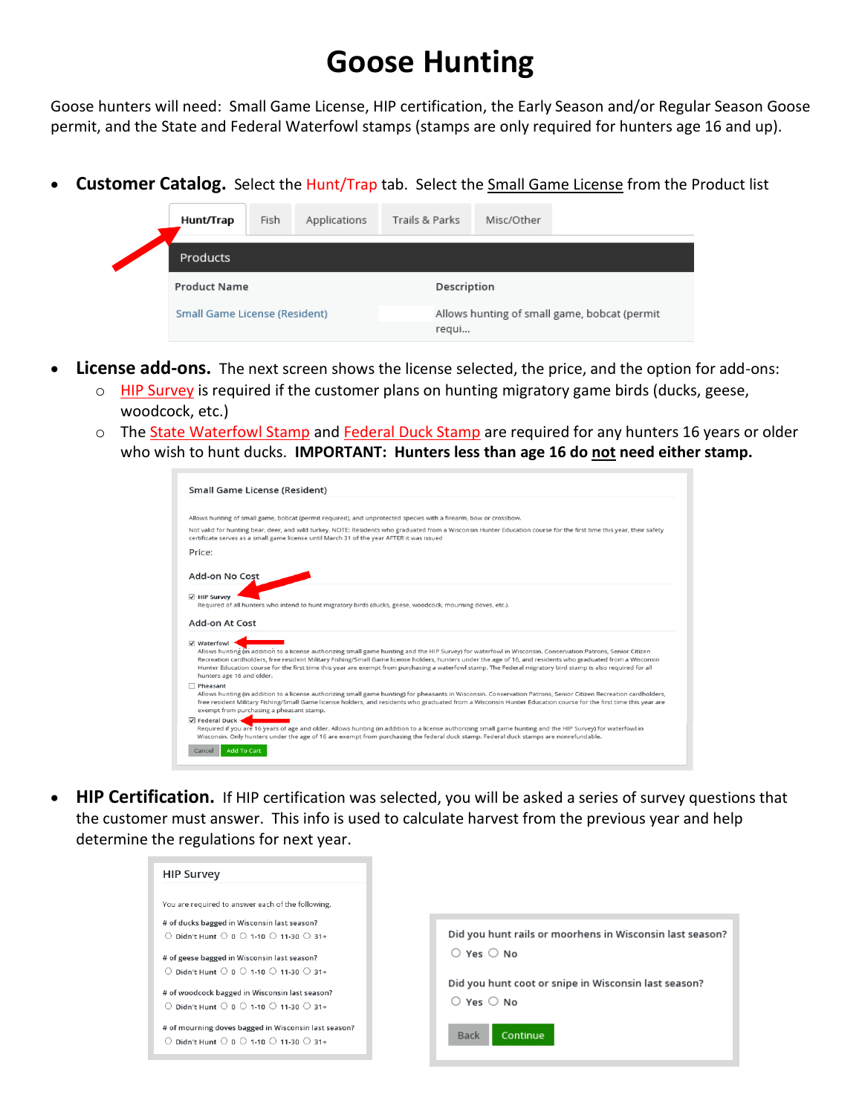## **Goose Hunting**

Goose hunters will need: Small Game License, HIP certification, the Early Season and/or Regular Season Goose permit, and the State and Federal Waterfowl stamps (stamps are only required for hunters age 16 and up).

• **Customer Catalog.** Select the Hunt/Trap tab. Select the Small Game License from the Product list

|  | Hunt/Trap                                            | Fish | Applications                                          | Trails & Parks | Misc/Other |  |
|--|------------------------------------------------------|------|-------------------------------------------------------|----------------|------------|--|
|  | Products                                             |      |                                                       |                |            |  |
|  | <b>Product Name</b><br>Small Game License (Resident) |      | Description                                           |                |            |  |
|  |                                                      |      | Allows hunting of small game, bobcat (permit<br>regui |                |            |  |
|  |                                                      |      |                                                       |                |            |  |

- **License add-ons.** The next screen shows the license selected, the price, and the option for add-ons:
	- o HIP Survey is required if the customer plans on hunting migratory game birds (ducks, geese, woodcock, etc.)
	- o The State Waterfowl Stamp and Federal Duck Stamp are required for any hunters 16 years or older who wish to hunt ducks. **IMPORTANT: Hunters less than age 16 do not need either stamp.**

| Small Game License (Resident)                                          |                                                                                                                                                                                                                                                                                                                                                                                                                                                                                              |
|------------------------------------------------------------------------|----------------------------------------------------------------------------------------------------------------------------------------------------------------------------------------------------------------------------------------------------------------------------------------------------------------------------------------------------------------------------------------------------------------------------------------------------------------------------------------------|
|                                                                        |                                                                                                                                                                                                                                                                                                                                                                                                                                                                                              |
|                                                                        | Allows hunting of small game, bobcat (permit required), and unprotected species with a firearm, bow or crossbow.                                                                                                                                                                                                                                                                                                                                                                             |
|                                                                        | Not valid for hunting bear, deer, and wild turkey. NOTE: Residents who graduated from a Wisconsin Hunter Education course for the first time this year, their safety<br>certificate serves as a small game license until March 31 of the year AFTER it was issued                                                                                                                                                                                                                            |
| Price:                                                                 |                                                                                                                                                                                                                                                                                                                                                                                                                                                                                              |
| Add-on No Cost                                                         |                                                                                                                                                                                                                                                                                                                                                                                                                                                                                              |
| √ HIP Survey                                                           |                                                                                                                                                                                                                                                                                                                                                                                                                                                                                              |
|                                                                        | Required of all hunters who intend to hunt migratory birds (ducks, geese, woodcock, mourning doves, etc.).                                                                                                                                                                                                                                                                                                                                                                                   |
|                                                                        |                                                                                                                                                                                                                                                                                                                                                                                                                                                                                              |
|                                                                        |                                                                                                                                                                                                                                                                                                                                                                                                                                                                                              |
|                                                                        |                                                                                                                                                                                                                                                                                                                                                                                                                                                                                              |
| hunters age 16 and older.                                              | Allows hunting (in addition to a license authorizing small game hunting and the HIP Survey) for waterfowl in Wisconsin. Conservation Patrons, Senior Citizen<br>Recreation cardholders, free resident Military Fishing/Small Game license holders, hunters under the age of 16, and residents who graduated from a Wisconsin<br>Hunter Education course for the first time this year are exempt from purchasing a waterfowl stamp. The Federal migratory bird stamp is also required for all |
| Pheasant<br>exempt from purchasing a pheasant stamp.                   | Allows hunting (in addition to a license authorizing small game hunting) for pheasants in Wisconsin. Conservation Patrons, Senior Citizen Recreation cardholders,<br>free resident Military Fishing/Small Game license holders, and residents who graduated from a Wisconsin Hunter Education course for the first time this year are                                                                                                                                                        |
| Add-on At Cost<br><b>☑</b> Waterfowl<br>$\overline{\vee}$ Federal Duck | Required if you are 16 years of age and older. Allows hunting (in addition to a license authorizing small game hunting and the HIP Survey) for waterfowl in<br>Wisconsin. Only hunters under the age of 16 are exempt from purchasing the federal duck stamp. Federal duck stamps are nonrefundable.                                                                                                                                                                                         |

• **HIP Certification.** If HIP certification was selected, you will be asked a series of survey questions that the customer must answer. This info is used to calculate harvest from the previous year and help determine the regulations for next year.

| <b>HIP Survey</b>                                                                                                                                                                                          |                                                                                      |
|------------------------------------------------------------------------------------------------------------------------------------------------------------------------------------------------------------|--------------------------------------------------------------------------------------|
| You are required to answer each of the following.<br># of ducks bagged in Wisconsin last season?                                                                                                           | Did you hunt rails or moorhens in Wisconsin last season?                             |
| $\bigcirc$ Didn't Hunt $\bigcirc$ 0 $\bigcirc$ 1-10 $\bigcirc$ 11-30 $\bigcirc$ 31+<br># of geese bagged in Wisconsin last season?<br>$\circ$ Didn't Hunt $\circ$ 0 $\circ$ 1-10 $\circ$ 11-30 $\circ$ 31+ | $\bigcirc$ Yes $\bigcirc$ No                                                         |
| # of woodcock bagged in Wisconsin last season?<br>$\bigcirc$ Didn't Hunt $\bigcirc$ 0 $\bigcirc$ 1-10 $\bigcirc$ 11-30 $\bigcirc$ 31+                                                                      | Did you hunt coot or snipe in Wisconsin last season?<br>$\bigcirc$ Yes $\bigcirc$ No |
| # of mourning doves bagged in Wisconsin last season?<br>$\bigcirc$ Didn't Hunt $\bigcirc$ 0 $\bigcirc$ 1-10 $\bigcirc$ 11-30 $\bigcirc$ 31+                                                                | Continue<br>Back                                                                     |